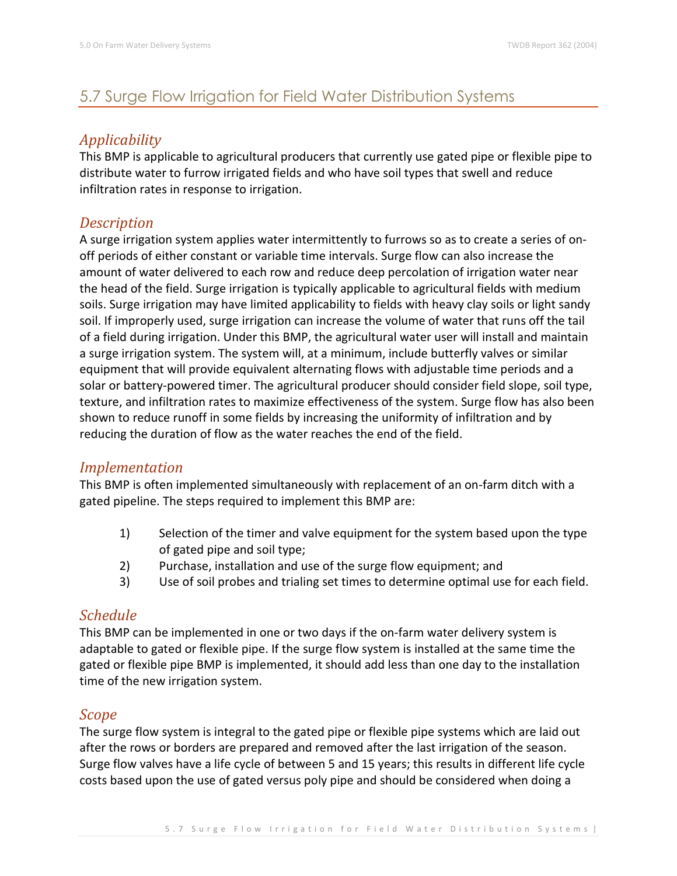# 5.7 Surge Flow Irrigation for Field Water Distribution Systems

## *Applicability*

This BMP is applicable to agricultural producers that currently use gated pipe or flexible pipe to distribute water to furrow irrigated fields and who have soil types that swell and reduce infiltration rates in response to irrigation.

### *Description*

A surge irrigation system applies water intermittently to furrows so as to create a series of onoff periods of either constant or variable time intervals. Surge flow can also increase the amount of water delivered to each row and reduce deep percolation of irrigation water near the head of the field. Surge irrigation is typically applicable to agricultural fields with medium soils. Surge irrigation may have limited applicability to fields with heavy clay soils or light sandy soil. If improperly used, surge irrigation can increase the volume of water that runs off the tail of a field during irrigation. Under this BMP, the agricultural water user will install and maintain a surge irrigation system. The system will, at a minimum, include butterfly valves or similar equipment that will provide equivalent alternating flows with adjustable time periods and a solar or battery-powered timer. The agricultural producer should consider field slope, soil type, texture, and infiltration rates to maximize effectiveness of the system. Surge flow has also been shown to reduce runoff in some fields by increasing the uniformity of infiltration and by reducing the duration of flow as the water reaches the end of the field.

#### *Implementation*

This BMP is often implemented simultaneously with replacement of an on-farm ditch with a gated pipeline. The steps required to implement this BMP are:

- 1) Selection of the timer and valve equipment for the system based upon the type of gated pipe and soil type;
- 2) Purchase, installation and use of the surge flow equipment; and
- 3) Use of soil probes and trialing set times to determine optimal use for each field.

## *Schedule*

This BMP can be implemented in one or two days if the on-farm water delivery system is adaptable to gated or flexible pipe. If the surge flow system is installed at the same time the gated or flexible pipe BMP is implemented, it should add less than one day to the installation time of the new irrigation system.

#### *Scope*

The surge flow system is integral to the gated pipe or flexible pipe systems which are laid out after the rows or borders are prepared and removed after the last irrigation of the season. Surge flow valves have a life cycle of between 5 and 15 years; this results in different life cycle costs based upon the use of gated versus poly pipe and should be considered when doing a